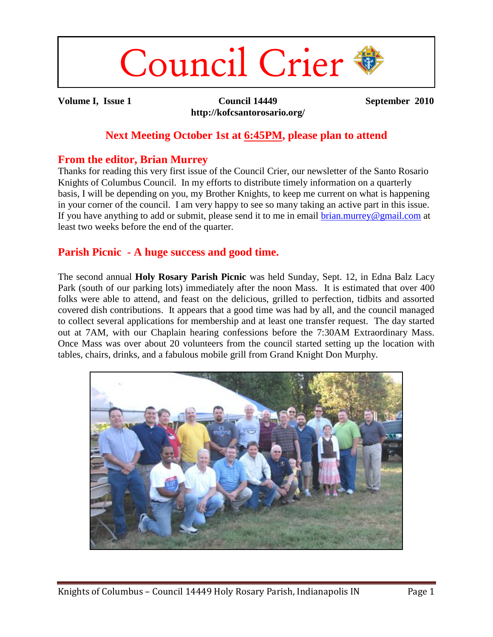# Council Crier

**Volume I, Issue 1 Council 14449 http://kofcsantorosario.org/** **September 2010**

#### **Next Meeting October 1st at 6:45PM, please plan to attend**

#### **From the editor, Brian Murrey**

Thanks for reading this very first issue of the Council Crier, our newsletter of the Santo Rosario Knights of Columbus Council. In my efforts to distribute timely information on a quarterly basis, I will be depending on you, my Brother Knights, to keep me current on what is happening in your corner of the council. I am very happy to see so many taking an active part in this issue. If you have anything to add or submit, please send it to me in email [brian.murrey@gmail.com](mailto:brian.murrey@gmail.com) at least two weeks before the end of the quarter.

### **Parish Picnic - A huge success and good time.**

The second annual **Holy Rosary Parish Picnic** was held Sunday, Sept. 12, in Edna Balz Lacy Park (south of our parking lots) immediately after the noon Mass. It is estimated that over 400 folks were able to attend, and feast on the delicious, grilled to perfection, tidbits and assorted covered dish contributions. It appears that a good time was had by all, and the council managed to collect several applications for membership and at least one transfer request. The day started out at 7AM, with our Chaplain hearing confessions before the 7:30AM Extraordinary Mass. Once Mass was over about 20 volunteers from the council started setting up the location with tables, chairs, drinks, and a fabulous mobile grill from Grand Knight Don Murphy.

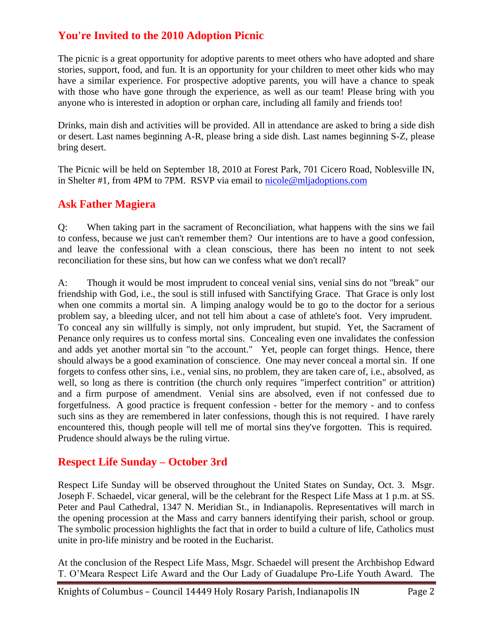# **You're Invited to the 2010 Adoption Picnic**

The picnic is a great opportunity for adoptive parents to meet others who have adopted and share stories, support, food, and fun. It is an opportunity for your children to meet other kids who may have a similar experience. For prospective adoptive parents, you will have a chance to speak with those who have gone through the experience, as well as our team! Please bring with you anyone who is interested in adoption or orphan care, including all family and friends too!

Drinks, main dish and activities will be provided. All in attendance are asked to bring a side dish or desert. Last names beginning A-R, please bring a side dish. Last names beginning S-Z, please bring desert.

The Picnic will be held on September 18, 2010 at Forest Park, 701 Cicero Road, Noblesville IN, in Shelter #1, from 4PM to 7PM. RSVP via email to [nicole@mljadoptions.com](mailto:nicole@mljadoptions.com)

### **Ask Father Magiera**

Q: When taking part in the sacrament of Reconciliation, what happens with the sins we fail to confess, because we just can't remember them? Our intentions are to have a good confession, and leave the confessional with a clean conscious, there has been no intent to not seek reconciliation for these sins, but how can we confess what we don't recall?

A: Though it would be most imprudent to conceal venial sins, venial sins do not "break" our friendship with God, i.e., the soul is still infused with Sanctifying Grace. That Grace is only lost when one commits a mortal sin. A limping analogy would be to go to the doctor for a serious problem say, a bleeding ulcer, and not tell him about a case of athlete's foot. Very imprudent. To conceal any sin willfully is simply, not only imprudent, but stupid. Yet, the Sacrament of Penance only requires us to confess mortal sins. Concealing even one invalidates the confession and adds yet another mortal sin "to the account." Yet, people can forget things. Hence, there should always be a good examination of conscience. One may never conceal a mortal sin. If one forgets to confess other sins, i.e., venial sins, no problem, they are taken care of, i.e., absolved, as well, so long as there is contrition (the church only requires "imperfect contrition" or attrition) and a firm purpose of amendment. Venial sins are absolved, even if not confessed due to forgetfulness. A good practice is frequent confession - better for the memory - and to confess such sins as they are remembered in later confessions, though this is not required. I have rarely encountered this, though people will tell me of mortal sins they've forgotten. This is required. Prudence should always be the ruling virtue.

#### **Respect Life Sunday – October 3rd**

Respect Life Sunday will be observed throughout the United States on Sunday, Oct. 3. Msgr. Joseph F. Schaedel, vicar general, will be the celebrant for the Respect Life Mass at 1 p.m. at SS. Peter and Paul Cathedral, 1347 N. Meridian St., in Indianapolis. Representatives will march in the opening procession at the Mass and carry banners identifying their parish, school or group. The symbolic procession highlights the fact that in order to build a culture of life, Catholics must unite in pro-life ministry and be rooted in the Eucharist.

At the conclusion of the Respect Life Mass, Msgr. Schaedel will present the Archbishop Edward T. O'Meara Respect Life Award and the Our Lady of Guadalupe Pro-Life Youth Award. The